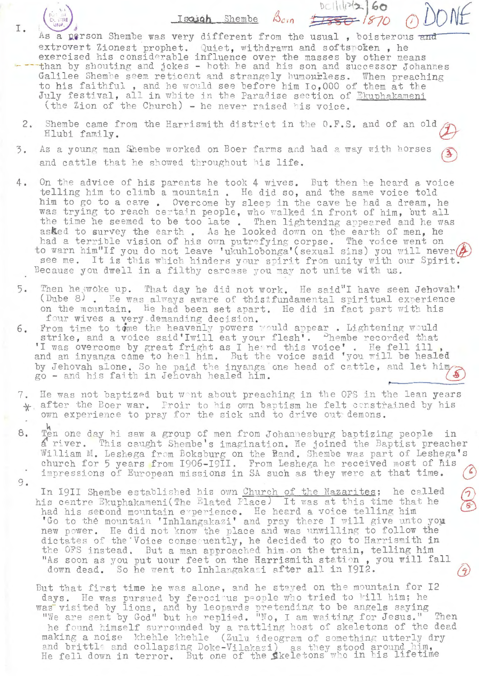Isaigh Shembe Born 1880 ( As a person Shembe was very different from the usual, boisterous and extrovert Zionest prophet. Quiet, withdrawn and softspoken, he<br>exercised his considerable influence over the masses by other means<br>than by shouting and jokes - both he and his son and successor Johannes Galilee Shembe seem reticent and strangely humourless. Whem preaching to his faithful, and he would see before him Io,000 of them at the July festival, all in white in the Paradise section of Ekuphakameni (the Zion of the Church) - he never raised his voice.

- $2.$ Shembe came from the Harrismith district in the O.F.S. and of an old Hlubi family.
- $3.$ As a young man Shembe worked on Boer farms and had a way with horses and cattle that he showed throughout his life.
- $4.$ On the advice of his parents he took 4 wives. But then he heard a voice telling him to climb a mountain. He did so, and the same voice told him to go to a cave. Overcome by sleep in the cave he had a dream, he was trying to reach certain people, who walked in front of him, but all the time he seemed to be too late. Then lightening appeared and he was asked to survey the earth. As he looked down on the earth of men, he had a terrible vision of his own putrefying corpse. The voice went on<br>to warn him"If you do not leave 'ukuhlobonga'(sexual sins) you will never see me. It is this which hinders your spirit from unity with our Spirit. Because you dwell in a filthy carcase you may not unite with us.
- 5. Then he woke up. That day he did not work. He said"I have seen Jehovah' (Dube 8). He was always aware of thistfundamental spiritual experience on the mountain. He had been set apart. He did in fact part with his four wives a very demanding decision.<br>From time to tome the heavenly powers would appear. Lightening would
- $6.$ strike, and a voice said'Iwill eat your flesh'. "hembe recorded that 'I was overcome by great fright as I heard this voice'. He fell ill and an inyanga came to heal him. But the voice said 'you will be healed by Jehovah alone. So he paid the inyanga one head of cattle, and let him go - and his faith in Jehovah healed him.
- 7. He was not baptized but went about preaching in the OFS in the lean years  $\frac{1}{2}$  after the Boer war. Proir to his own baptism he felt constrained by his own experience to pray for the sick and to drive out demons.
- 8. Ten one day hi saw a group of men from Johannesburg baptizing people in a river. This caught Shembe's imagination. He joined the Baptist preacher William M. Leshega from Boksburg on the Rand. Shembe was part of Leshega's church for 5 years from 1906-1911. From Leshega he received most of his impressions of European missions in SA such as they were at that time. 9.
	- In I9II Shembe established his own Church of the Nazarites; he called his centre Ekuphakameni (The Elated Place) It was at this time that he had his second mountain experience. He heard a voice telling him<br>'Go to the mountain 'Inhlangakazi' and pray there I will give unto you new power. He did not know the place and was unwilling to follow the dictates of the Voice consequently, he decided to go to Harrismith in the OFS instead. But a man approached him on the train, telling him "As soon as you put uour feet on the Harrismith station, you will fall down dead. So he went to Inhlangakazi after all in 1912.

But that first time he was alone, and he stayed on the mountain for iz days. He was pursued by ferocious people who tried to kill him; he was visited by lions, and by leopards pretending to be angels saying "We are sent by God" but he replied. "No, I am waiting for Jesus." Then he found himself surrounded by a rattling host of skeletons of the dead making a noise khehle khehle (Zulu ideogram of something utterly dry and brittle and collapsing Doke-Vilakazi) as they stood around him, He fell down in terror. But one of the Skeletons who in his lifetime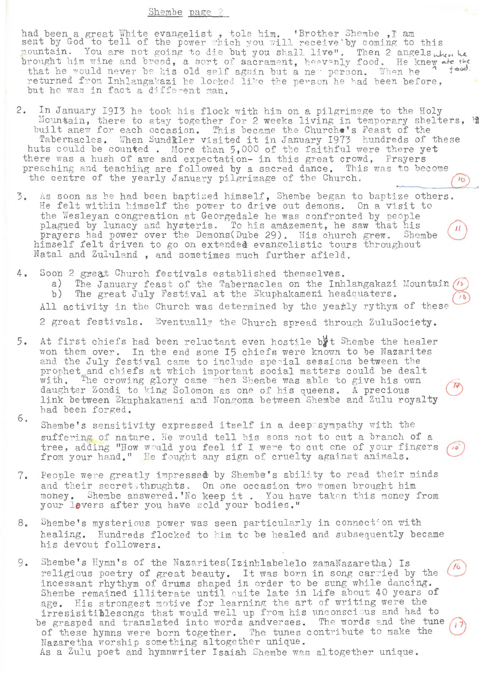## Shembe page 2

had been a great White evangelist, tole him. 'Brother Shembe, I am<br>sent by God to tell of the power which you will receive'by coming to this<br>mountain. You are not going to die but you shall live". Then 2 angels when he brought him wine and bread, a sort of sacrament, heavenly food. He knew are the  $100$ that he would never be his old self again but a new person. When he returned from Inhlangakazi he looked like the person he had been before, but he was in fact a different man.

- 2. In January 1913 he took his flock with him on a pilgrimage to the Holy Mountain, there to stay together for 2 weeks living in temporary shelters, built anew for each occasion. This became the Churche's Feast of the Tabernacles. When Sundkler visited it in January 1973 hundreds of these huts could be counted. More than 5,000 of the faithful were there yet there was a hush of awe and expectation- in this great crowd, Prayers preaching and teaching are followed by a sacred dance. This was to become the centre of the yearly January pilgrimage of the Church.  $16$
- As soon as he had been baptized himself, Shembe began to baptize others.  $\mathcal{F}$ . He felt within himself the power to drive out demons. On a visit to the Wesleyan congreation at Georgedale he was confronted by people plagued by lunacy and hysteria. To his amazement, he saw that his prayers had power over the Demons(Dube 29). His church grew. Shembe himself felt driven to go on extended evangelistic tours throughout Natal and Zululand, and sometimes much further afield.
- 4. Soon 2 great Church festivals established themselves.

a) The January feast of the Tabernacles on the Inhlangakazi Mountain (1) b) The great July Festival at the Ekuphakameni headquaters. All activity in the Church was determined by the yearly rythym of these 2 great festivals. Eventually the Church spread through ZuluSociety.

- At first chiefs had been reluctant even hostile byt Shembe the healer 5. won them over. In the end some 15 chiefs were known to be Nazarites and the July festival came to include special sessions between the prophet and chiefs at which important social matters could be dealt<br>with. The crowing glory came when Shembe was able to give his own<br>daughter Zondi to king Solomon as one of his queens. A precious link between Ekuphakameni and Nongoma between Shembe and Zulu royalty had been forged.
- 6. Shembe's sensitivity expressed itself in a deep sympathy with the suffering of nature. He would tell his sons not to cut a branch of a tree, adding "How would you feel if I were to cut one of your fingers from your hand." He fought any sign of cruelty against animals.
- People were greatly impressed by Shembe's ability to read their minds 7. and their secretsthoughts. On one occasion two women brought him money. Shembe answered. 'No keep it. You have taken this money from your lovers after you have sold your bodies."
- Whembe's mysterious power was seen particularly in connection with 8. healing. Hundreds flocked to him to be healed and subsequently became his devout followers.
- 9. Shembe's Hymn's of the Nazarites(Izinhlabelelo zamaNazaretha) Is religious poetry of great beauty. It was born in song carried by the incessant rhythym of drums shaped in order to be sung while dancing. Shembe remained illiterate until quite late in Life about 40 years of age. His strongest motive for learning the art of writing were the irresisitiblesongs that would well up from his unconscious and had to be grasped and translated into words andverses. The words and the tune of these hymns were born together. The tunes contribute to make the Nazaretha worship something altogether unique. As a Zulu poet and hymnwriter Isaiah Shembe was altogether unique.